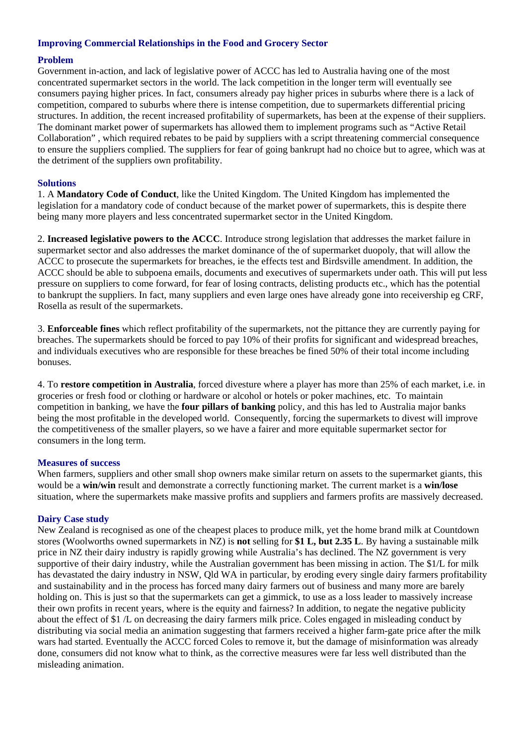# **Improving Commercial Relationships in the Food and Grocery Sector**

# **Problem**

Government in-action, and lack of legislative power of ACCC has led to Australia having one of the most concentrated supermarket sectors in the world. The lack competition in the longer term will eventually see consumers paying higher prices. In fact, consumers already pay higher prices in suburbs where there is a lack of competition, compared to suburbs where there is intense competition, due to supermarkets differential pricing structures. In addition, the recent increased profitability of supermarkets, has been at the expense of their suppliers. The dominant market power of supermarkets has allowed them to implement programs such as "Active Retail Collaboration" , which required rebates to be paid by suppliers with a script threatening commercial consequence to ensure the suppliers complied. The suppliers for fear of going bankrupt had no choice but to agree, which was at the detriment of the suppliers own profitability.

### **Solutions**

1. A **Mandatory Code of Conduct**, like the United Kingdom. The United Kingdom has implemented the legislation for a mandatory code of conduct because of the market power of supermarkets, this is despite there being many more players and less concentrated supermarket sector in the United Kingdom.

2. **Increased legislative powers to the ACCC**. Introduce strong legislation that addresses the market failure in supermarket sector and also addresses the market dominance of the of supermarket duopoly, that will allow the ACCC to prosecute the supermarkets for breaches, ie the effects test and Birdsville amendment. In addition, the ACCC should be able to subpoena emails, documents and executives of supermarkets under oath. This will put less pressure on suppliers to come forward, for fear of losing contracts, delisting products etc., which has the potential to bankrupt the suppliers. In fact, many suppliers and even large ones have already gone into receivership eg CRF, Rosella as result of the supermarkets.

3. **Enforceable fines** which reflect profitability of the supermarkets, not the pittance they are currently paying for breaches. The supermarkets should be forced to pay 10% of their profits for significant and widespread breaches, and individuals executives who are responsible for these breaches be fined 50% of their total income including bonuses.

4. To **restore competition in Australia**, forced divesture where a player has more than 25% of each market, i.e. in groceries or fresh food or clothing or hardware or alcohol or hotels or poker machines, etc. To maintain competition in banking, we have the **four pillars of banking** policy, and this has led to Australia major banks being the most profitable in the developed world. Consequently, forcing the supermarkets to divest will improve the competitiveness of the smaller players, so we have a fairer and more equitable supermarket sector for consumers in the long term.

#### **Measures of success**

When farmers, suppliers and other small shop owners make similar return on assets to the supermarket giants, this would be a **win/win** result and demonstrate a correctly functioning market. The current market is a **win/lose** situation, where the supermarkets make massive profits and suppliers and farmers profits are massively decreased.

# **Dairy Case study**

New Zealand is recognised as one of the cheapest places to produce milk, yet the home brand milk at Countdown stores (Woolworths owned supermarkets in NZ) is **not** selling for **\$1 L, but 2.35 L**. By having a sustainable milk price in NZ their dairy industry is rapidly growing while Australia's has declined. The NZ government is very supportive of their dairy industry, while the Australian government has been missing in action. The \$1/L for milk has devastated the dairy industry in NSW, Qld WA in particular, by eroding every single dairy farmers profitability and sustainability and in the process has forced many dairy farmers out of business and many more are barely holding on. This is just so that the supermarkets can get a gimmick, to use as a loss leader to massively increase their own profits in recent years, where is the equity and fairness? In addition, to negate the negative publicity about the effect of \$1 /L on decreasing the dairy farmers milk price. Coles engaged in misleading conduct by distributing via social media an animation suggesting that farmers received a higher farm-gate price after the milk wars had started. Eventually the ACCC forced Coles to remove it, but the damage of misinformation was already done, consumers did not know what to think, as the corrective measures were far less well distributed than the misleading animation.